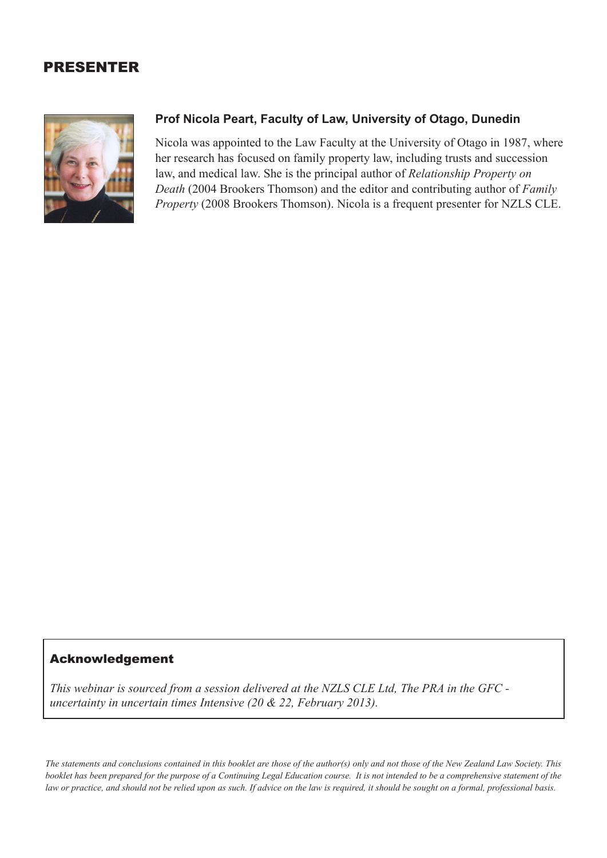## PRESENTER



## **Prof Nicola Peart, Faculty of Law, University of Otago, Dunedin**

Nicola was appointed to the Law Faculty at the University of Otago in 1987, where her research has focused on family property law, including trusts and succession law, and medical law. She is the principal author of *Relationship Property on Death* (2004 Brookers Thomson) and the editor and contributing author of *Family Property* (2008 Brookers Thomson). Nicola is a frequent presenter for NZLS CLE.

## Acknowledgement

*This webinar is sourced from a session delivered at the NZLS CLE Ltd, The PRA in the GFC uncertainty in uncertain times Intensive (20 & 22, February 2013).*

*The statements and conclusions contained in this booklet are those of the author(s) only and not those of the New Zealand Law Society. This booklet has been prepared for the purpose of a Continuing Legal Education course. It is not intended to be a comprehensive statement of the law or practice, and should not be relied upon as such. If advice on the law is required, it should be sought on a formal, professional basis.*